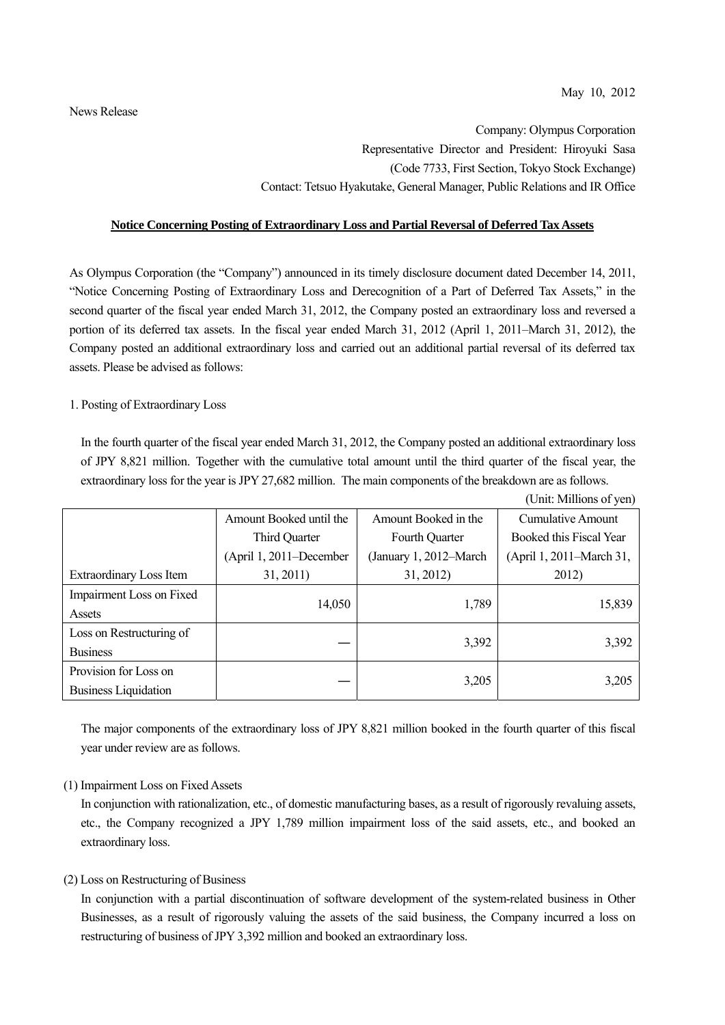Company: Olympus Corporation Representative Director and President: Hiroyuki Sasa (Code 7733, First Section, Tokyo Stock Exchange) Contact: Tetsuo Hyakutake, General Manager, Public Relations and IR Office

#### **Notice Concerning Posting of Extraordinary Loss and Partial Reversal of Deferred Tax Assets**

As Olympus Corporation (the "Company") announced in its timely disclosure document dated December 14, 2011, "Notice Concerning Posting of Extraordinary Loss and Derecognition of a Part of Deferred Tax Assets," in the second quarter of the fiscal year ended March 31, 2012, the Company posted an extraordinary loss and reversed a portion of its deferred tax assets. In the fiscal year ended March 31, 2012 (April 1, 2011–March 31, 2012), the Company posted an additional extraordinary loss and carried out an additional partial reversal of its deferred tax assets. Please be advised as follows:

#### 1. Posting of Extraordinary Loss

In the fourth quarter of the fiscal year ended March 31, 2012, the Company posted an additional extraordinary loss of JPY 8,821 million. Together with the cumulative total amount until the third quarter of the fiscal year, the extraordinary loss for the year is JPY 27,682 million. The main components of the breakdown are as follows.

|                                |                         |                        | (Unit: Millions of yen)  |
|--------------------------------|-------------------------|------------------------|--------------------------|
|                                | Amount Booked until the | Amount Booked in the   | <b>Cumulative Amount</b> |
|                                | Third Quarter           | Fourth Quarter         | Booked this Fiscal Year  |
|                                | (April 1, 2011–December | (January 1, 2012-March | (April 1, 2011–March 31, |
| <b>Extraordinary Loss Item</b> | 31, 2011)               | 31, 2012)              | 2012)                    |
| Impairment Loss on Fixed       |                         |                        |                          |
| Assets                         | 14,050                  | 1,789                  | 15,839                   |
| Loss on Restructuring of       |                         |                        |                          |
| <b>Business</b>                |                         | 3,392                  | 3,392                    |
| Provision for Loss on          |                         |                        |                          |
| <b>Business Liquidation</b>    |                         | 3,205                  | 3,205                    |

The major components of the extraordinary loss of JPY 8,821 million booked in the fourth quarter of this fiscal year under review are as follows.

# (1) Impairment Loss on Fixed Assets

In conjunction with rationalization, etc., of domestic manufacturing bases, as a result of rigorously revaluing assets, etc., the Company recognized a JPY 1,789 million impairment loss of the said assets, etc., and booked an extraordinary loss.

# (2) Loss on Restructuring of Business

In conjunction with a partial discontinuation of software development of the system-related business in Other Businesses, as a result of rigorously valuing the assets of the said business, the Company incurred a loss on restructuring of business of JPY 3,392 million and booked an extraordinary loss.